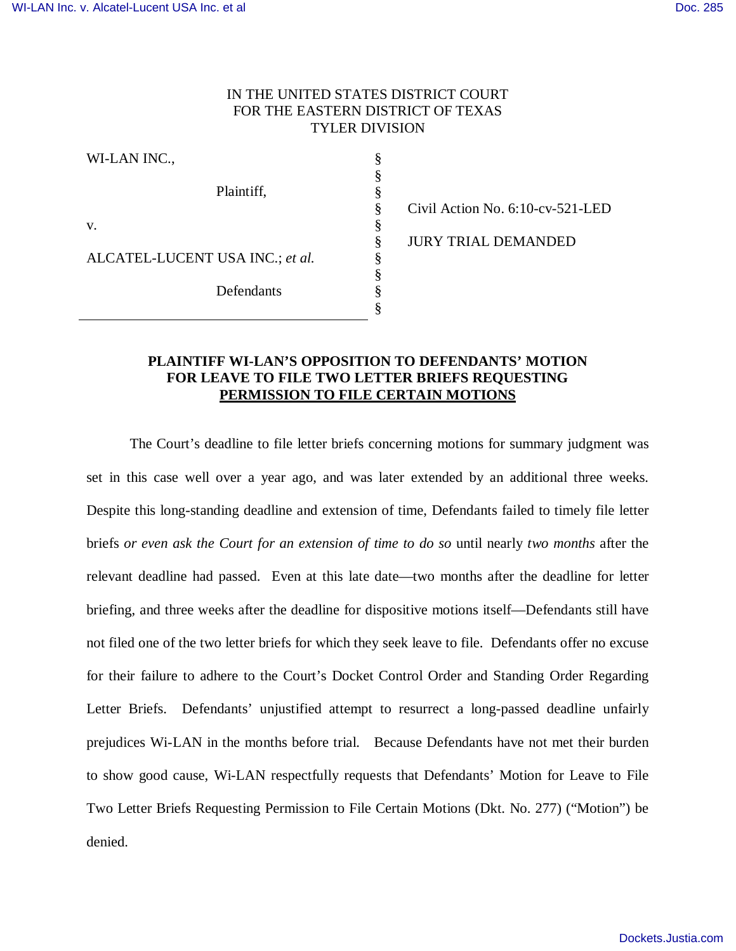# IN THE UNITED STATES DISTRICT COURT FOR THE EASTERN DISTRICT OF TEXAS TYLER DIVISION

§ § § § § § § § § §

WI-LAN INC., Plaintiff, v. ALCATEL-LUCENT USA INC.; *et al.*  Defendants

Civil Action No. 6:10-cv-521-LED JURY TRIAL DEMANDED

## **PLAINTIFF WI-LAN'S OPPOSITION TO DEFENDANTS' MOTION FOR LEAVE TO FILE TWO LETTER BRIEFS REQUESTING PERMISSION TO FILE CERTAIN MOTIONS**

The Court's deadline to file letter briefs concerning motions for summary judgment was set in this case well over a year ago, and was later extended by an additional three weeks. Despite this long-standing deadline and extension of time, Defendants failed to timely file letter briefs *or even ask the Court for an extension of time to do so* until nearly *two months* after the relevant deadline had passed. Even at this late date—two months after the deadline for letter briefing, and three weeks after the deadline for dispositive motions itself—Defendants still have not filed one of the two letter briefs for which they seek leave to file. Defendants offer no excuse for their failure to adhere to the Court's Docket Control Order and Standing Order Regarding Letter Briefs. Defendants' unjustified attempt to resurrect a long-passed deadline unfairly prejudices Wi-LAN in the months before trial. Because Defendants have not met their burden to show good cause, Wi-LAN respectfully requests that Defendants' Motion for Leave to File Two Letter Briefs Requesting Permission to File Certain Motions (Dkt. No. 277) ("Motion") be denied.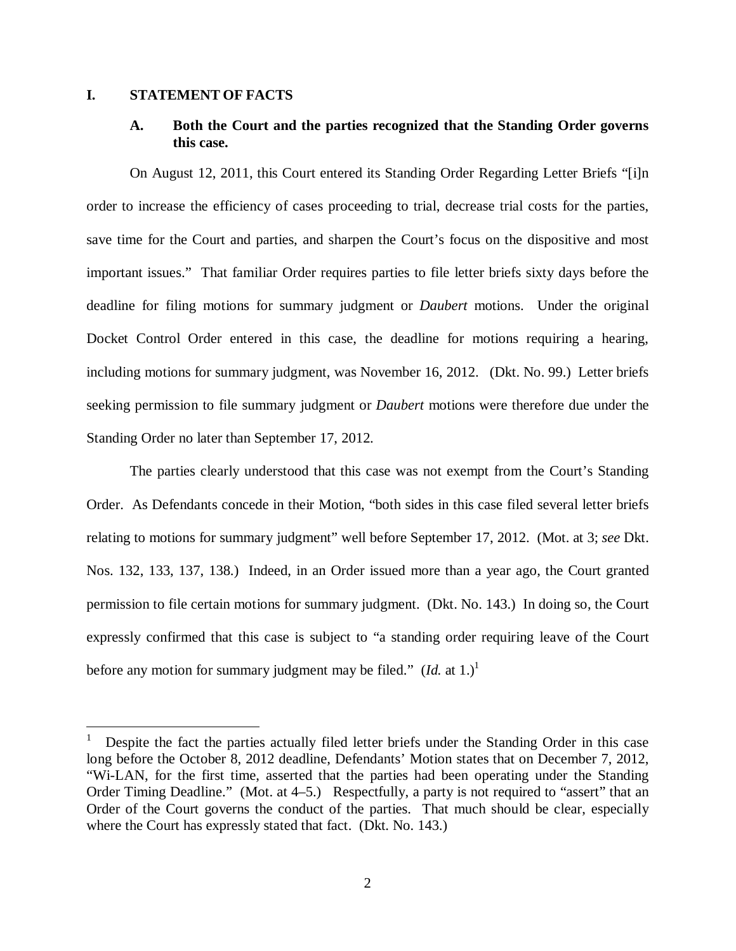### **I. STATEMENT OF FACTS**

1

# **A. Both the Court and the parties recognized that the Standing Order governs this case.**

On August 12, 2011, this Court entered its Standing Order Regarding Letter Briefs "[i]n order to increase the efficiency of cases proceeding to trial, decrease trial costs for the parties, save time for the Court and parties, and sharpen the Court's focus on the dispositive and most important issues." That familiar Order requires parties to file letter briefs sixty days before the deadline for filing motions for summary judgment or *Daubert* motions. Under the original Docket Control Order entered in this case, the deadline for motions requiring a hearing, including motions for summary judgment, was November 16, 2012. (Dkt. No. 99.) Letter briefs seeking permission to file summary judgment or *Daubert* motions were therefore due under the Standing Order no later than September 17, 2012.

The parties clearly understood that this case was not exempt from the Court's Standing Order. As Defendants concede in their Motion, "both sides in this case filed several letter briefs relating to motions for summary judgment" well before September 17, 2012. (Mot. at 3; *see* Dkt. Nos. 132, 133, 137, 138.) Indeed, in an Order issued more than a year ago, the Court granted permission to file certain motions for summary judgment. (Dkt. No. 143.) In doing so, the Court expressly confirmed that this case is subject to "a standing order requiring leave of the Court before any motion for summary judgment may be filed."  $(Id.  at 1.)<sup>1</sup>$ 

<sup>1</sup> Despite the fact the parties actually filed letter briefs under the Standing Order in this case long before the October 8, 2012 deadline, Defendants' Motion states that on December 7, 2012, "Wi-LAN, for the first time, asserted that the parties had been operating under the Standing Order Timing Deadline." (Mot. at 4–5.) Respectfully, a party is not required to "assert" that an Order of the Court governs the conduct of the parties. That much should be clear, especially where the Court has expressly stated that fact. (Dkt. No. 143.)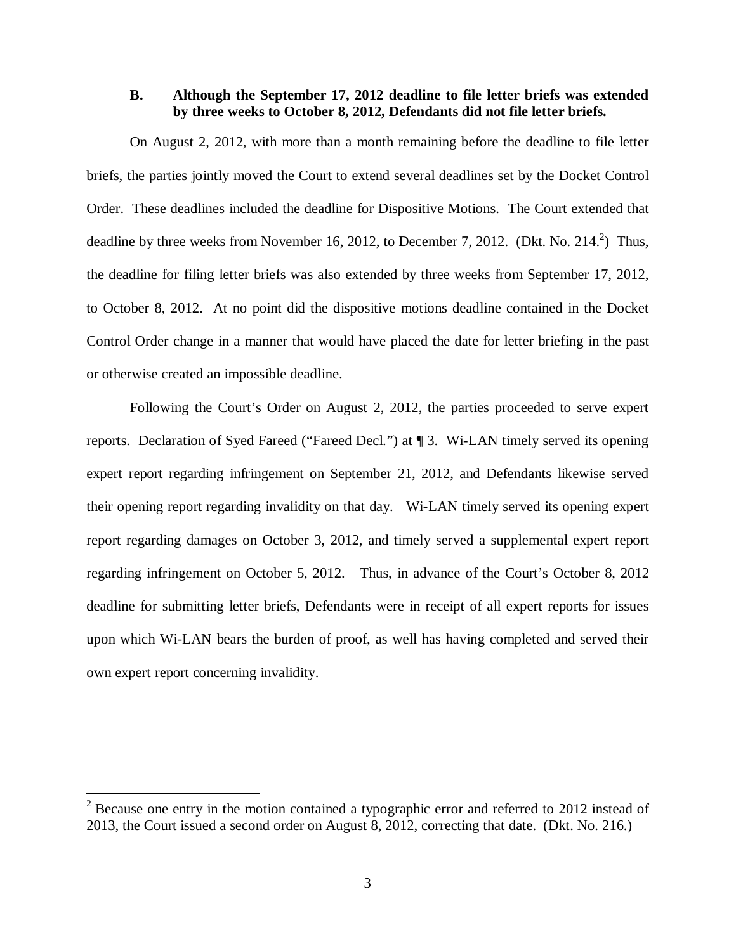## **B. Although the September 17, 2012 deadline to file letter briefs was extended by three weeks to October 8, 2012, Defendants did not file letter briefs.**

On August 2, 2012, with more than a month remaining before the deadline to file letter briefs, the parties jointly moved the Court to extend several deadlines set by the Docket Control Order. These deadlines included the deadline for Dispositive Motions. The Court extended that deadline by three weeks from November 16, 2012, to December 7, 2012. (Dkt. No. 214. $^2$ ) Thus, the deadline for filing letter briefs was also extended by three weeks from September 17, 2012, to October 8, 2012. At no point did the dispositive motions deadline contained in the Docket Control Order change in a manner that would have placed the date for letter briefing in the past or otherwise created an impossible deadline.

Following the Court's Order on August 2, 2012, the parties proceeded to serve expert reports. Declaration of Syed Fareed ("Fareed Decl.") at ¶ 3. Wi-LAN timely served its opening expert report regarding infringement on September 21, 2012, and Defendants likewise served their opening report regarding invalidity on that day. Wi-LAN timely served its opening expert report regarding damages on October 3, 2012, and timely served a supplemental expert report regarding infringement on October 5, 2012. Thus, in advance of the Court's October 8, 2012 deadline for submitting letter briefs, Defendants were in receipt of all expert reports for issues upon which Wi-LAN bears the burden of proof, as well has having completed and served their own expert report concerning invalidity.

1

 $2^2$  Because one entry in the motion contained a typographic error and referred to 2012 instead of 2013, the Court issued a second order on August 8, 2012, correcting that date. (Dkt. No. 216.)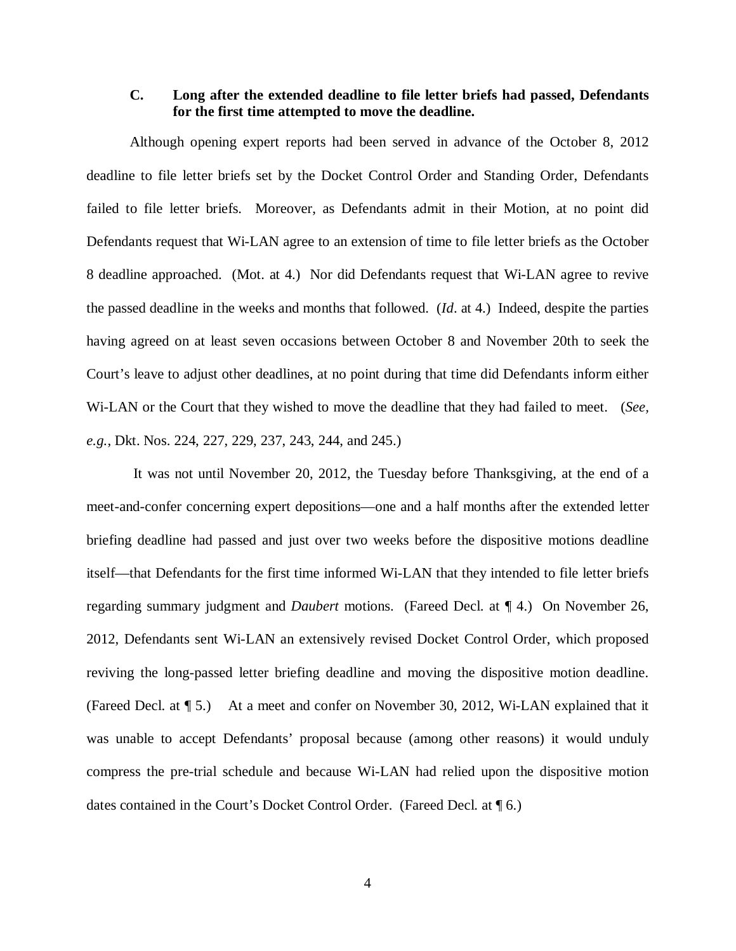## **C. Long after the extended deadline to file letter briefs had passed, Defendants for the first time attempted to move the deadline.**

Although opening expert reports had been served in advance of the October 8, 2012 deadline to file letter briefs set by the Docket Control Order and Standing Order, Defendants failed to file letter briefs. Moreover, as Defendants admit in their Motion, at no point did Defendants request that Wi-LAN agree to an extension of time to file letter briefs as the October 8 deadline approached. (Mot. at 4.) Nor did Defendants request that Wi-LAN agree to revive the passed deadline in the weeks and months that followed. (*Id*. at 4.) Indeed, despite the parties having agreed on at least seven occasions between October 8 and November 20th to seek the Court's leave to adjust other deadlines, at no point during that time did Defendants inform either Wi-LAN or the Court that they wished to move the deadline that they had failed to meet. (*See, e.g.*, Dkt. Nos. 224, 227, 229, 237, 243, 244, and 245.)

 It was not until November 20, 2012, the Tuesday before Thanksgiving, at the end of a meet-and-confer concerning expert depositions—one and a half months after the extended letter briefing deadline had passed and just over two weeks before the dispositive motions deadline itself—that Defendants for the first time informed Wi-LAN that they intended to file letter briefs regarding summary judgment and *Daubert* motions. (Fareed Decl. at ¶ 4.) On November 26, 2012, Defendants sent Wi-LAN an extensively revised Docket Control Order, which proposed reviving the long-passed letter briefing deadline and moving the dispositive motion deadline. (Fareed Decl. at ¶ 5.) At a meet and confer on November 30, 2012, Wi-LAN explained that it was unable to accept Defendants' proposal because (among other reasons) it would unduly compress the pre-trial schedule and because Wi-LAN had relied upon the dispositive motion dates contained in the Court's Docket Control Order. (Fareed Decl. at ¶ 6.)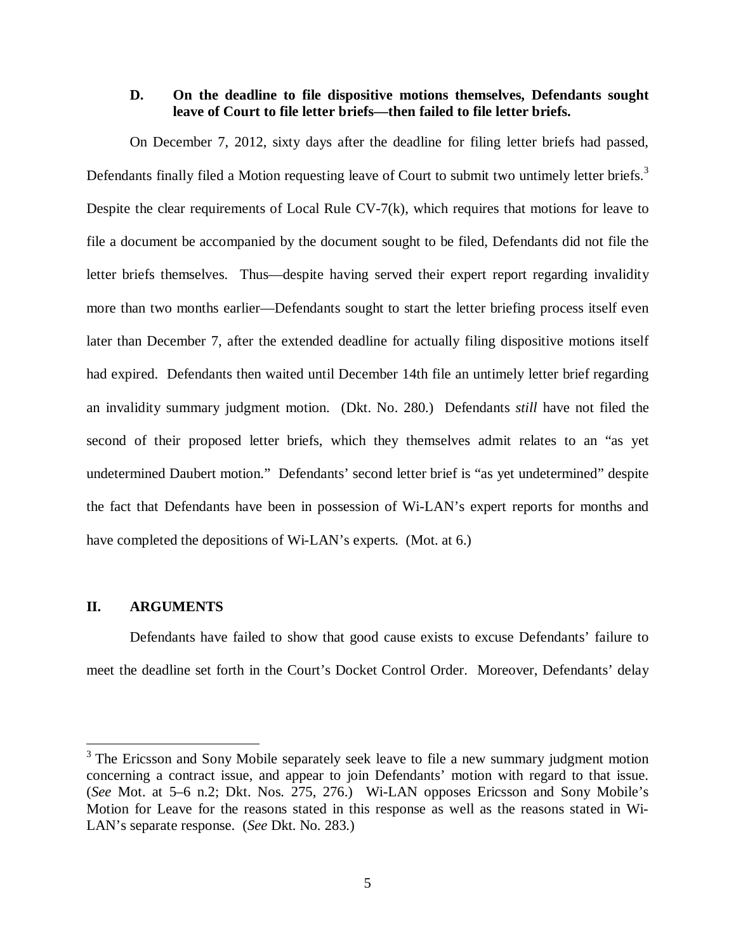### **D. On the deadline to file dispositive motions themselves, Defendants sought leave of Court to file letter briefs—then failed to file letter briefs.**

On December 7, 2012, sixty days after the deadline for filing letter briefs had passed, Defendants finally filed a Motion requesting leave of Court to submit two untimely letter briefs.<sup>3</sup> Despite the clear requirements of Local Rule CV-7(k), which requires that motions for leave to file a document be accompanied by the document sought to be filed, Defendants did not file the letter briefs themselves. Thus—despite having served their expert report regarding invalidity more than two months earlier—Defendants sought to start the letter briefing process itself even later than December 7, after the extended deadline for actually filing dispositive motions itself had expired. Defendants then waited until December 14th file an untimely letter brief regarding an invalidity summary judgment motion. (Dkt. No. 280.) Defendants *still* have not filed the second of their proposed letter briefs, which they themselves admit relates to an "as yet undetermined Daubert motion." Defendants' second letter brief is "as yet undetermined" despite the fact that Defendants have been in possession of Wi-LAN's expert reports for months and have completed the depositions of Wi-LAN's experts. (Mot. at 6.)

### **II. ARGUMENTS**

1

Defendants have failed to show that good cause exists to excuse Defendants' failure to meet the deadline set forth in the Court's Docket Control Order. Moreover, Defendants' delay

<sup>&</sup>lt;sup>3</sup> The Ericsson and Sony Mobile separately seek leave to file a new summary judgment motion concerning a contract issue, and appear to join Defendants' motion with regard to that issue. (*See* Mot. at 5–6 n.2; Dkt. Nos. 275, 276.) Wi-LAN opposes Ericsson and Sony Mobile's Motion for Leave for the reasons stated in this response as well as the reasons stated in Wi-LAN's separate response. (*See* Dkt. No. 283.)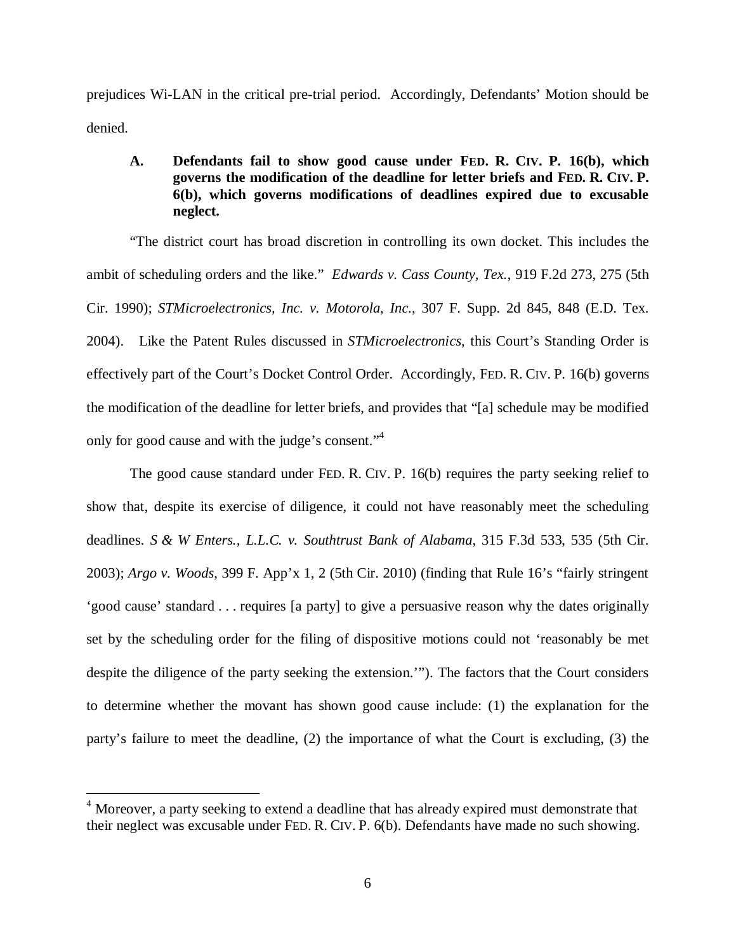prejudices Wi-LAN in the critical pre-trial period. Accordingly, Defendants' Motion should be denied.

# **A. Defendants fail to show good cause under FED. R. CIV. P. 16(b), which governs the modification of the deadline for letter briefs and FED. R. CIV. P. 6(b), which governs modifications of deadlines expired due to excusable neglect.**

"The district court has broad discretion in controlling its own docket. This includes the ambit of scheduling orders and the like." *Edwards v. Cass County, Tex.*, 919 F.2d 273, 275 (5th Cir. 1990); *STMicroelectronics, Inc. v. Motorola, Inc.*, 307 F. Supp. 2d 845, 848 (E.D. Tex. 2004). Like the Patent Rules discussed in *STMicroelectronics,* this Court's Standing Order is effectively part of the Court's Docket Control Order. Accordingly, FED. R. CIV. P. 16(b) governs the modification of the deadline for letter briefs, and provides that "[a] schedule may be modified only for good cause and with the judge's consent."<sup>4</sup>

The good cause standard under FED. R. CIV. P. 16(b) requires the party seeking relief to show that, despite its exercise of diligence, it could not have reasonably meet the scheduling deadlines. *S & W Enters., L.L.C. v. Southtrust Bank of Alabama*, 315 F.3d 533, 535 (5th Cir. 2003); *Argo v. Woods*, 399 F. App'x 1, 2 (5th Cir. 2010) (finding that Rule 16's "fairly stringent 'good cause' standard . . . requires [a party] to give a persuasive reason why the dates originally set by the scheduling order for the filing of dispositive motions could not 'reasonably be met despite the diligence of the party seeking the extension.'"). The factors that the Court considers to determine whether the movant has shown good cause include: (1) the explanation for the party's failure to meet the deadline, (2) the importance of what the Court is excluding, (3) the

 $\overline{a}$ 

<sup>&</sup>lt;sup>4</sup> Moreover, a party seeking to extend a deadline that has already expired must demonstrate that their neglect was excusable under FED. R. CIV. P. 6(b). Defendants have made no such showing.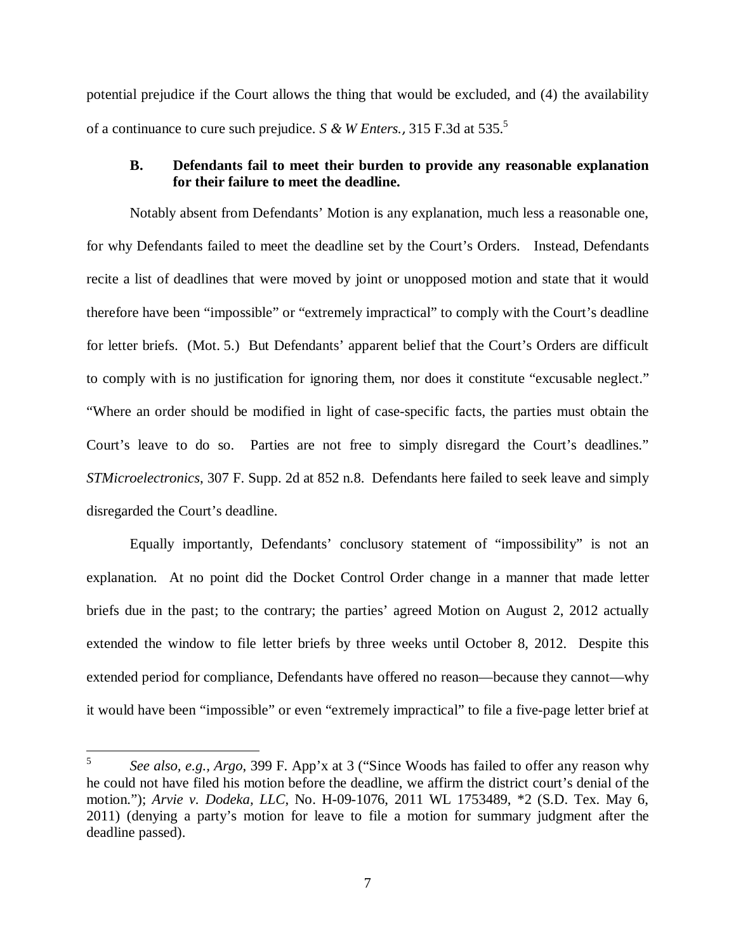potential prejudice if the Court allows the thing that would be excluded, and (4) the availability of a continuance to cure such prejudice. *S & W Enters.*, 315 F.3d at 535.<sup>5</sup>

## **B. Defendants fail to meet their burden to provide any reasonable explanation for their failure to meet the deadline.**

Notably absent from Defendants' Motion is any explanation, much less a reasonable one, for why Defendants failed to meet the deadline set by the Court's Orders. Instead, Defendants recite a list of deadlines that were moved by joint or unopposed motion and state that it would therefore have been "impossible" or "extremely impractical" to comply with the Court's deadline for letter briefs. (Mot. 5.) But Defendants' apparent belief that the Court's Orders are difficult to comply with is no justification for ignoring them, nor does it constitute "excusable neglect." "Where an order should be modified in light of case-specific facts, the parties must obtain the Court's leave to do so. Parties are not free to simply disregard the Court's deadlines." *STMicroelectronics*, 307 F. Supp. 2d at 852 n.8. Defendants here failed to seek leave and simply disregarded the Court's deadline.

Equally importantly, Defendants' conclusory statement of "impossibility" is not an explanation. At no point did the Docket Control Order change in a manner that made letter briefs due in the past; to the contrary; the parties' agreed Motion on August 2, 2012 actually extended the window to file letter briefs by three weeks until October 8, 2012. Despite this extended period for compliance, Defendants have offered no reason—because they cannot—why it would have been "impossible" or even "extremely impractical" to file a five-page letter brief at

 $5\overline{)}$ <sup>5</sup> *See also, e.g., Argo*, 399 F. App'x at 3 ("Since Woods has failed to offer any reason why he could not have filed his motion before the deadline, we affirm the district court's denial of the motion."); *Arvie v. Dodeka, LLC*, No. H-09-1076, 2011 WL 1753489, \*2 (S.D. Tex. May 6, 2011) (denying a party's motion for leave to file a motion for summary judgment after the deadline passed).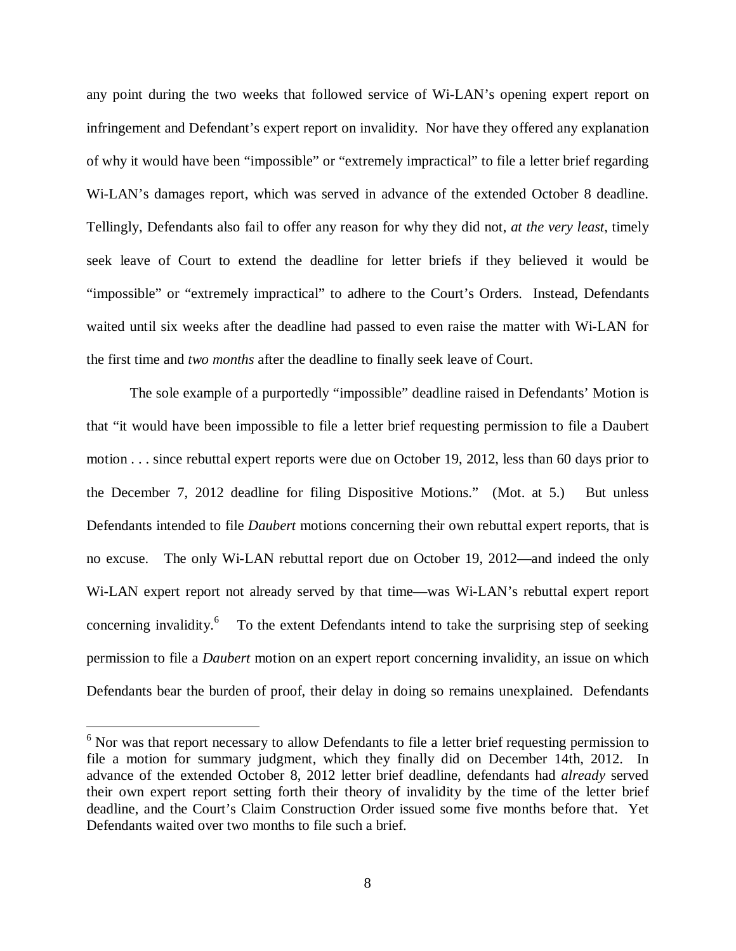any point during the two weeks that followed service of Wi-LAN's opening expert report on infringement and Defendant's expert report on invalidity. Nor have they offered any explanation of why it would have been "impossible" or "extremely impractical" to file a letter brief regarding Wi-LAN's damages report, which was served in advance of the extended October 8 deadline. Tellingly, Defendants also fail to offer any reason for why they did not, *at the very least*, timely seek leave of Court to extend the deadline for letter briefs if they believed it would be "impossible" or "extremely impractical" to adhere to the Court's Orders. Instead, Defendants waited until six weeks after the deadline had passed to even raise the matter with Wi-LAN for the first time and *two months* after the deadline to finally seek leave of Court.

The sole example of a purportedly "impossible" deadline raised in Defendants' Motion is that "it would have been impossible to file a letter brief requesting permission to file a Daubert motion . . . since rebuttal expert reports were due on October 19, 2012, less than 60 days prior to the December 7, 2012 deadline for filing Dispositive Motions." (Mot. at 5.) But unless Defendants intended to file *Daubert* motions concerning their own rebuttal expert reports, that is no excuse. The only Wi-LAN rebuttal report due on October 19, 2012—and indeed the only Wi-LAN expert report not already served by that time—was Wi-LAN's rebuttal expert report concerning invalidity.<sup>6</sup> To the extent Defendants intend to take the surprising step of seeking permission to file a *Daubert* motion on an expert report concerning invalidity, an issue on which Defendants bear the burden of proof, their delay in doing so remains unexplained. Defendants

1

 $6$  Nor was that report necessary to allow Defendants to file a letter brief requesting permission to file a motion for summary judgment, which they finally did on December 14th, 2012. In advance of the extended October 8, 2012 letter brief deadline, defendants had *already* served their own expert report setting forth their theory of invalidity by the time of the letter brief deadline, and the Court's Claim Construction Order issued some five months before that. Yet Defendants waited over two months to file such a brief.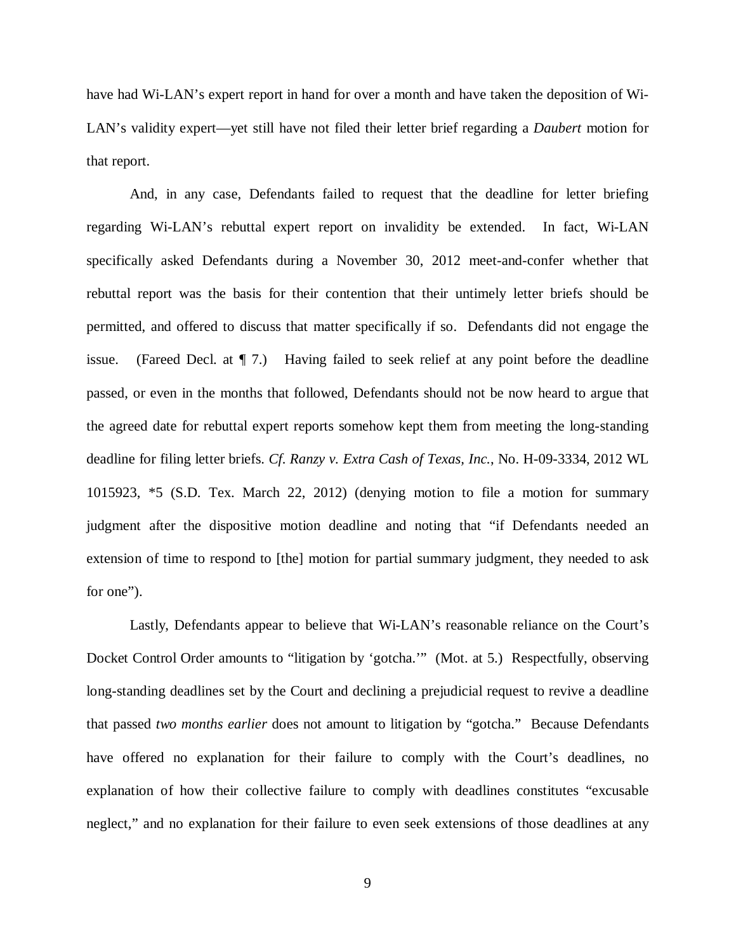have had Wi-LAN's expert report in hand for over a month and have taken the deposition of Wi-LAN's validity expert—yet still have not filed their letter brief regarding a *Daubert* motion for that report.

And, in any case, Defendants failed to request that the deadline for letter briefing regarding Wi-LAN's rebuttal expert report on invalidity be extended. In fact, Wi-LAN specifically asked Defendants during a November 30, 2012 meet-and-confer whether that rebuttal report was the basis for their contention that their untimely letter briefs should be permitted, and offered to discuss that matter specifically if so. Defendants did not engage the issue. (Fareed Decl. at  $\P$  7.) Having failed to seek relief at any point before the deadline passed, or even in the months that followed, Defendants should not be now heard to argue that the agreed date for rebuttal expert reports somehow kept them from meeting the long-standing deadline for filing letter briefs. *Cf. Ranzy v. Extra Cash of Texas, Inc.*, No. H-09-3334, 2012 WL 1015923, \*5 (S.D. Tex. March 22, 2012) (denying motion to file a motion for summary judgment after the dispositive motion deadline and noting that "if Defendants needed an extension of time to respond to [the] motion for partial summary judgment, they needed to ask for one").

Lastly, Defendants appear to believe that Wi-LAN's reasonable reliance on the Court's Docket Control Order amounts to "litigation by 'gotcha.'" (Mot. at 5.) Respectfully, observing long-standing deadlines set by the Court and declining a prejudicial request to revive a deadline that passed *two months earlier* does not amount to litigation by "gotcha." Because Defendants have offered no explanation for their failure to comply with the Court's deadlines, no explanation of how their collective failure to comply with deadlines constitutes "excusable neglect," and no explanation for their failure to even seek extensions of those deadlines at any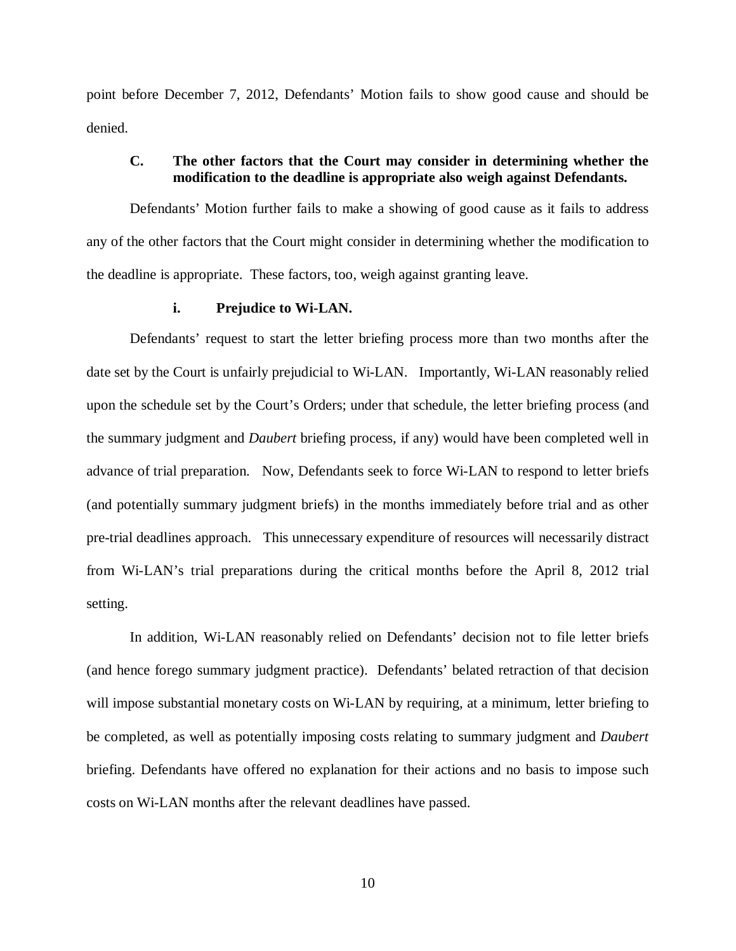point before December 7, 2012, Defendants' Motion fails to show good cause and should be denied.

# **C. The other factors that the Court may consider in determining whether the modification to the deadline is appropriate also weigh against Defendants.**

Defendants' Motion further fails to make a showing of good cause as it fails to address any of the other factors that the Court might consider in determining whether the modification to the deadline is appropriate. These factors, too, weigh against granting leave.

#### **i. Prejudice to Wi-LAN.**

Defendants' request to start the letter briefing process more than two months after the date set by the Court is unfairly prejudicial to Wi-LAN. Importantly, Wi-LAN reasonably relied upon the schedule set by the Court's Orders; under that schedule, the letter briefing process (and the summary judgment and *Daubert* briefing process, if any) would have been completed well in advance of trial preparation. Now, Defendants seek to force Wi-LAN to respond to letter briefs (and potentially summary judgment briefs) in the months immediately before trial and as other pre-trial deadlines approach. This unnecessary expenditure of resources will necessarily distract from Wi-LAN's trial preparations during the critical months before the April 8, 2012 trial setting.

In addition, Wi-LAN reasonably relied on Defendants' decision not to file letter briefs (and hence forego summary judgment practice). Defendants' belated retraction of that decision will impose substantial monetary costs on Wi-LAN by requiring, at a minimum, letter briefing to be completed, as well as potentially imposing costs relating to summary judgment and *Daubert*  briefing. Defendants have offered no explanation for their actions and no basis to impose such costs on Wi-LAN months after the relevant deadlines have passed.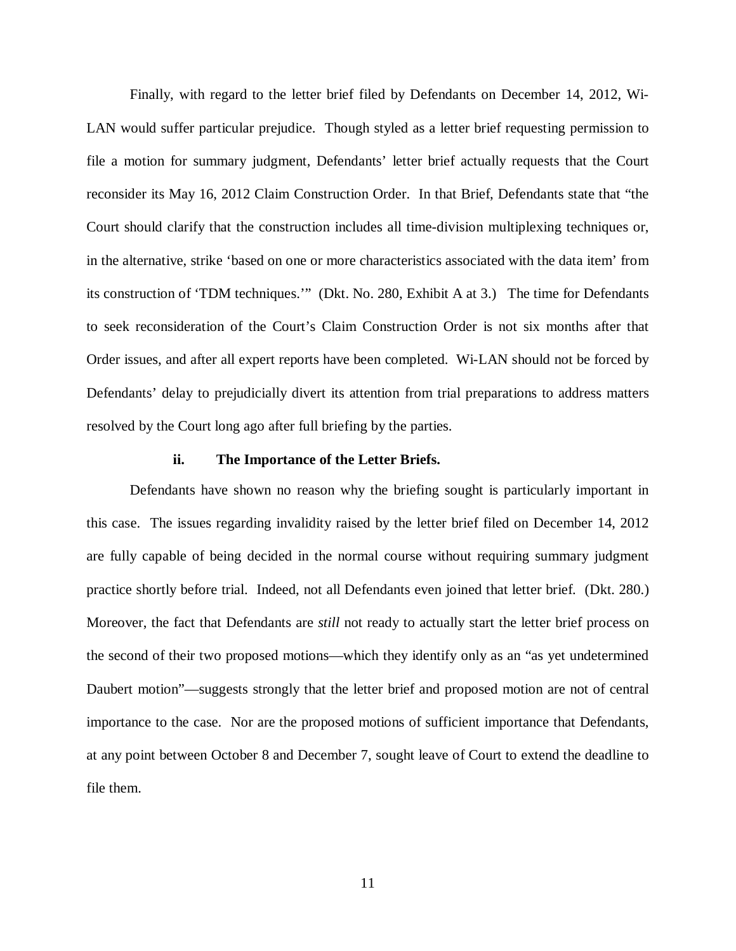Finally, with regard to the letter brief filed by Defendants on December 14, 2012, Wi-LAN would suffer particular prejudice. Though styled as a letter brief requesting permission to file a motion for summary judgment, Defendants' letter brief actually requests that the Court reconsider its May 16, 2012 Claim Construction Order. In that Brief, Defendants state that "the Court should clarify that the construction includes all time-division multiplexing techniques or, in the alternative, strike 'based on one or more characteristics associated with the data item' from its construction of 'TDM techniques.'" (Dkt. No. 280, Exhibit A at 3.) The time for Defendants to seek reconsideration of the Court's Claim Construction Order is not six months after that Order issues, and after all expert reports have been completed. Wi-LAN should not be forced by Defendants' delay to prejudicially divert its attention from trial preparations to address matters resolved by the Court long ago after full briefing by the parties.

#### **ii. The Importance of the Letter Briefs.**

Defendants have shown no reason why the briefing sought is particularly important in this case. The issues regarding invalidity raised by the letter brief filed on December 14, 2012 are fully capable of being decided in the normal course without requiring summary judgment practice shortly before trial. Indeed, not all Defendants even joined that letter brief. (Dkt. 280.) Moreover, the fact that Defendants are *still* not ready to actually start the letter brief process on the second of their two proposed motions—which they identify only as an "as yet undetermined Daubert motion"—suggests strongly that the letter brief and proposed motion are not of central importance to the case. Nor are the proposed motions of sufficient importance that Defendants, at any point between October 8 and December 7, sought leave of Court to extend the deadline to file them.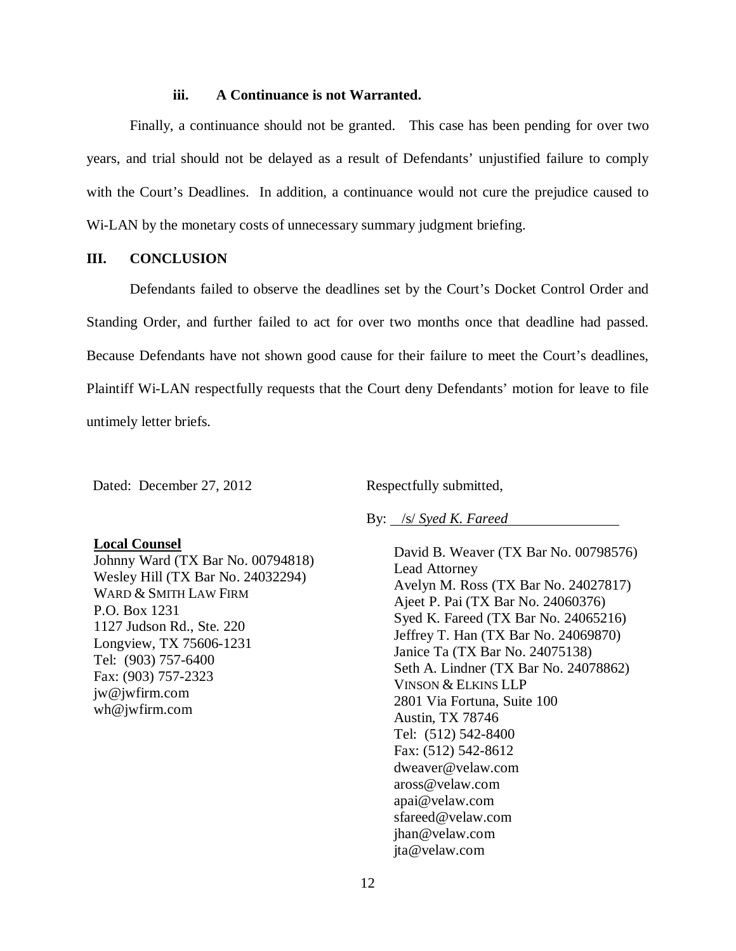### **iii. A Continuance is not Warranted.**

Finally, a continuance should not be granted. This case has been pending for over two years, and trial should not be delayed as a result of Defendants' unjustified failure to comply with the Court's Deadlines. In addition, a continuance would not cure the prejudice caused to Wi-LAN by the monetary costs of unnecessary summary judgment briefing.

## **III. CONCLUSION**

Defendants failed to observe the deadlines set by the Court's Docket Control Order and Standing Order, and further failed to act for over two months once that deadline had passed. Because Defendants have not shown good cause for their failure to meet the Court's deadlines, Plaintiff Wi-LAN respectfully requests that the Court deny Defendants' motion for leave to file untimely letter briefs.

Dated: December 27, 2012

Respectfully submitted,

### By: /s/ *Syed K. Fareed*

David B. Weaver (TX Bar No. 00798576) Lead Attorney Avelyn M. Ross (TX Bar No. 24027817) Ajeet P. Pai (TX Bar No. 24060376) Syed K. Fareed (TX Bar No. 24065216) Jeffrey T. Han (TX Bar No. 24069870) Janice Ta (TX Bar No. 24075138) Seth A. Lindner (TX Bar No. 24078862) VINSON & ELKINS LLP 2801 Via Fortuna, Suite 100 Austin, TX 78746 Tel: (512) 542-8400 Fax: (512) 542-8612 dweaver@velaw.com aross@velaw.com apai@velaw.com sfareed@velaw.com jhan@velaw.com jta@velaw.com

### **Local Counsel**

Johnny Ward (TX Bar No. 00794818) Wesley Hill (TX Bar No. 24032294) WARD & SMITH LAW FIRM P.O. Box 1231 1127 Judson Rd., Ste. 220 Longview, TX 75606-1231 Tel: (903) 757-6400 Fax: (903) 757-2323 jw@jwfirm.com wh@jwfirm.com